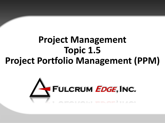# **Project Management Topic 1.5 Project Portfolio Management (PPM)**

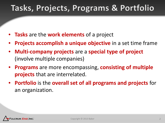## Tasks, Projects, Programs & Portfolio

- **Tasks** are the **work elements** of a project
- Projects accomplish a unique objective in a set time frame
- **Multi-company projects** are a **special type of project**  (involve multiple companies)
- **Programs** are more encompassing, **consisting of multiple projects** that are interrelated.
- **Portfolio** is the **overall set of all programs and projects** for an organization.

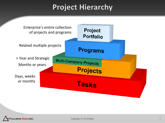## **Project Hierarchy**



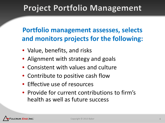## **Project Portfolio Management**

#### **Portfolio management assesses, selects and monitors projects for the following:**

- Value, benefits, and risks
- Alignment with strategy and goals
- Consistent with values and culture
- Contribute to positive cash flow
- Effective use of resources
- Provide for current contributions to firm's health as well as future success

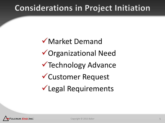## **Considerations in Project Initiation**

Market Demand Organizational Need **V** Technology Advance Customer Request Legal Requirements

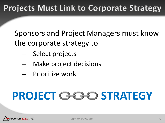## **Projects Must Link to Corporate Strategy**

Sponsors and Project Managers must know the corporate strategy to

- Select projects
- Make project decisions
- Prioritize work

# **PROJECT STRATEGY**

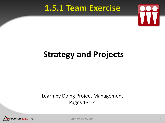### 1.5.1 Team Exercise



### **1.5.1 Team Exercise Strategy and Projects**

#### Learn by Doing Project Management Pages 13-14



Copyright © 2013 Baker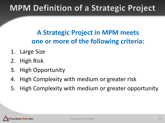## **MPM Definition of a Strategic Project**

#### **A Strategic Project in MPM meets one or more of the following criteria:**

- 1. Large Size
- 2. High Risk
- 3. High Opportunity
- 4. High Complexity with medium or greater risk
- 5. High Complexity with medium or greater opportunity